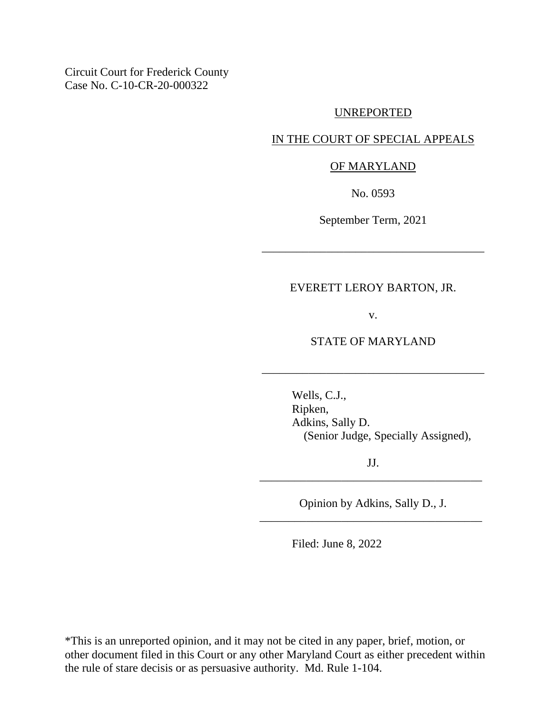Circuit Court for Frederick County Case No. C-10-CR-20-000322

#### UNREPORTED

# IN THE COURT OF SPECIAL APPEALS

### OF MARYLAND

No. 0593

September Term, 2021

\_\_\_\_\_\_\_\_\_\_\_\_\_\_\_\_\_\_\_\_\_\_\_\_\_\_\_\_\_\_\_\_\_\_\_\_\_\_

## EVERETT LEROY BARTON, JR.

v.

## STATE OF MARYLAND

\_\_\_\_\_\_\_\_\_\_\_\_\_\_\_\_\_\_\_\_\_\_\_\_\_\_\_\_\_\_\_\_\_\_\_\_\_\_

Wells, C.J., Ripken, Adkins, Sally D. (Senior Judge, Specially Assigned),

JJ. \_\_\_\_\_\_\_\_\_\_\_\_\_\_\_\_\_\_\_\_\_\_\_\_\_\_\_\_\_\_\_\_\_\_\_\_\_\_

Opinion by Adkins, Sally D., J. \_\_\_\_\_\_\_\_\_\_\_\_\_\_\_\_\_\_\_\_\_\_\_\_\_\_\_\_\_\_\_\_\_\_\_\_\_\_

Filed: June 8, 2022

\*This is an unreported opinion, and it may not be cited in any paper, brief, motion, or other document filed in this Court or any other Maryland Court as either precedent within the rule of stare decisis or as persuasive authority. Md. Rule 1-104.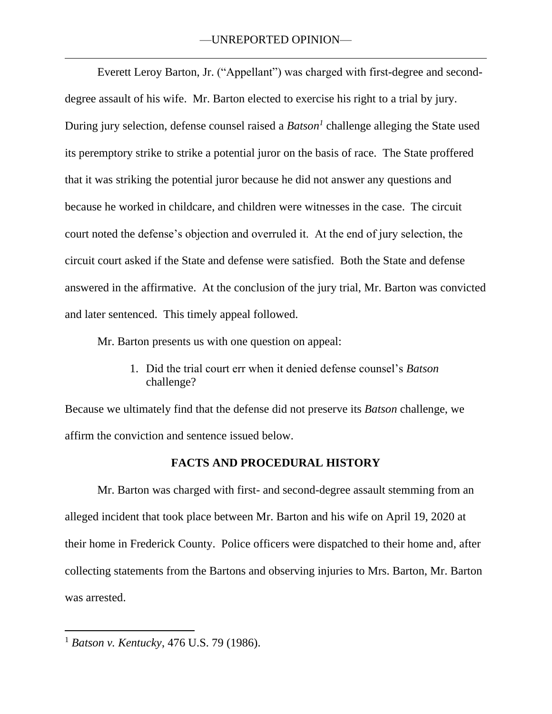Everett Leroy Barton, Jr. ("Appellant") was charged with first-degree and seconddegree assault of his wife. Mr. Barton elected to exercise his right to a trial by jury. During jury selection, defense counsel raised a *Batson<sup>1</sup>* challenge alleging the State used its peremptory strike to strike a potential juror on the basis of race. The State proffered that it was striking the potential juror because he did not answer any questions and because he worked in childcare, and children were witnesses in the case. The circuit court noted the defense's objection and overruled it. At the end of jury selection, the circuit court asked if the State and defense were satisfied. Both the State and defense answered in the affirmative. At the conclusion of the jury trial, Mr. Barton was convicted and later sentenced. This timely appeal followed.

Mr. Barton presents us with one question on appeal:

1. Did the trial court err when it denied defense counsel's *Batson* challenge?

Because we ultimately find that the defense did not preserve its *Batson* challenge, we affirm the conviction and sentence issued below.

# **FACTS AND PROCEDURAL HISTORY**

Mr. Barton was charged with first- and second-degree assault stemming from an alleged incident that took place between Mr. Barton and his wife on April 19, 2020 at their home in Frederick County. Police officers were dispatched to their home and, after collecting statements from the Bartons and observing injuries to Mrs. Barton, Mr. Barton was arrested.

<sup>1</sup> *Batson v. Kentucky*, 476 U.S. 79 (1986).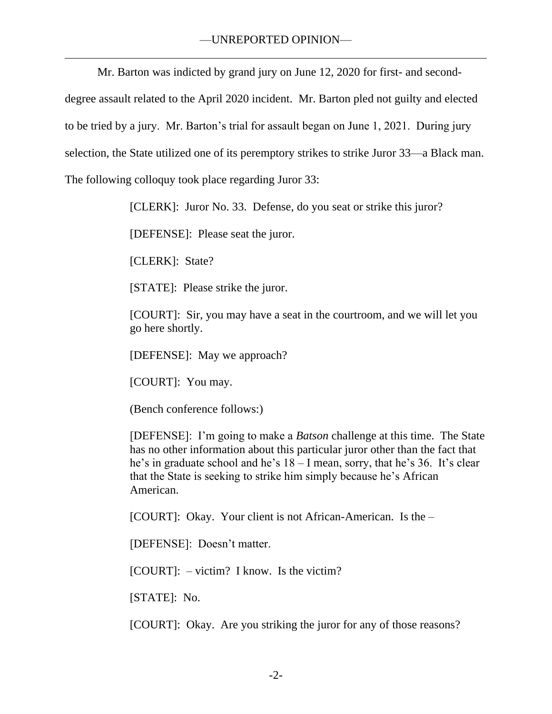Mr. Barton was indicted by grand jury on June 12, 2020 for first- and second-

degree assault related to the April 2020 incident. Mr. Barton pled not guilty and elected

to be tried by a jury. Mr. Barton's trial for assault began on June 1, 2021. During jury

selection, the State utilized one of its peremptory strikes to strike Juror 33—a Black man.

The following colloquy took place regarding Juror 33:

[CLERK]: Juror No. 33. Defense, do you seat or strike this juror?

[DEFENSE]: Please seat the juror.

[CLERK]: State?

[STATE]: Please strike the juror.

[COURT]: Sir, you may have a seat in the courtroom, and we will let you go here shortly.

[DEFENSE]: May we approach?

[COURT]: You may.

(Bench conference follows:)

[DEFENSE]: I'm going to make a *Batson* challenge at this time. The State has no other information about this particular juror other than the fact that he's in graduate school and he's 18 – I mean, sorry, that he's 36. It's clear that the State is seeking to strike him simply because he's African American.

[COURT]: Okay. Your client is not African-American. Is the –

[DEFENSE]: Doesn't matter.

[COURT]: – victim? I know. Is the victim?

[STATE]: No.

[COURT]: Okay. Are you striking the juror for any of those reasons?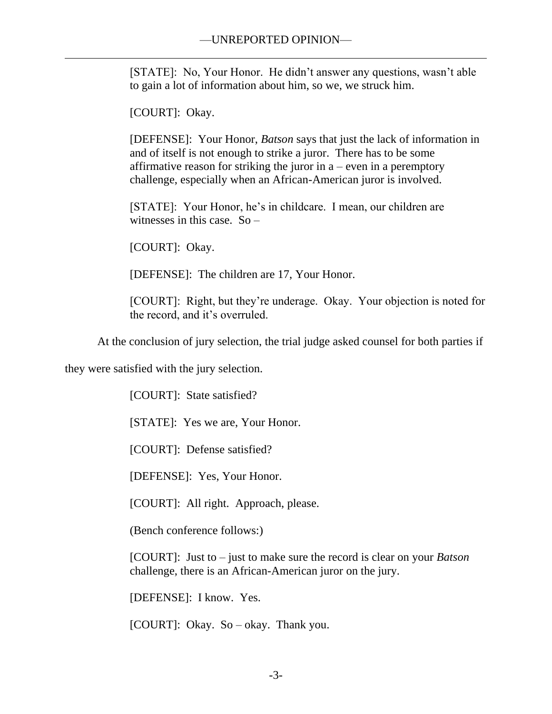[STATE]: No, Your Honor. He didn't answer any questions, wasn't able to gain a lot of information about him, so we, we struck him.

[COURT]: Okay.

[DEFENSE]: Your Honor, *Batson* says that just the lack of information in and of itself is not enough to strike a juror. There has to be some affirmative reason for striking the juror in  $a$  – even in a peremptory challenge, especially when an African-American juror is involved.

[STATE]: Your Honor, he's in childcare. I mean, our children are witnesses in this case. So –

[COURT]: Okay.

[DEFENSE]: The children are 17, Your Honor.

[COURT]: Right, but they're underage. Okay. Your objection is noted for the record, and it's overruled.

At the conclusion of jury selection, the trial judge asked counsel for both parties if

they were satisfied with the jury selection.

[COURT]: State satisfied?

[STATE]: Yes we are, Your Honor.

[COURT]: Defense satisfied?

[DEFENSE]: Yes, Your Honor.

[COURT]: All right. Approach, please.

(Bench conference follows:)

[COURT]: Just to – just to make sure the record is clear on your *Batson* challenge, there is an African-American juror on the jury.

[DEFENSE]: I know. Yes.

[COURT]: Okay. So – okay. Thank you.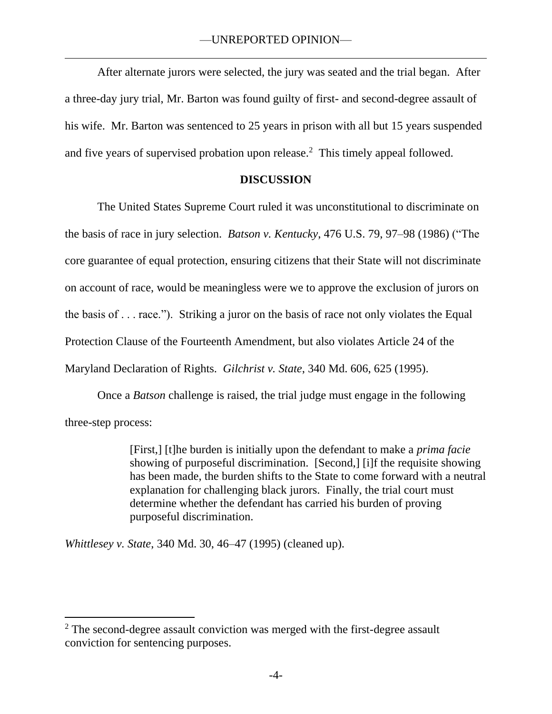After alternate jurors were selected, the jury was seated and the trial began. After a three-day jury trial, Mr. Barton was found guilty of first- and second-degree assault of his wife. Mr. Barton was sentenced to 25 years in prison with all but 15 years suspended and five years of supervised probation upon release.<sup>2</sup> This timely appeal followed.

# **DISCUSSION**

The United States Supreme Court ruled it was unconstitutional to discriminate on the basis of race in jury selection. *Batson v. Kentucky*, 476 U.S. 79, 97–98 (1986) ("The core guarantee of equal protection, ensuring citizens that their State will not discriminate on account of race, would be meaningless were we to approve the exclusion of jurors on the basis of . . . race."). Striking a juror on the basis of race not only violates the Equal Protection Clause of the Fourteenth Amendment, but also violates Article 24 of the Maryland Declaration of Rights. *Gilchrist v. State*, 340 Md. 606, 625 (1995).

Once a *Batson* challenge is raised, the trial judge must engage in the following three-step process:

> [First,] [t]he burden is initially upon the defendant to make a *prima facie* showing of purposeful discrimination. [Second,] [i]f the requisite showing has been made, the burden shifts to the State to come forward with a neutral explanation for challenging black jurors. Finally, the trial court must determine whether the defendant has carried his burden of proving purposeful discrimination.

*Whittlesey v. State*, 340 Md. 30, 46–47 (1995) (cleaned up).

<sup>&</sup>lt;sup>2</sup> The second-degree assault conviction was merged with the first-degree assault conviction for sentencing purposes.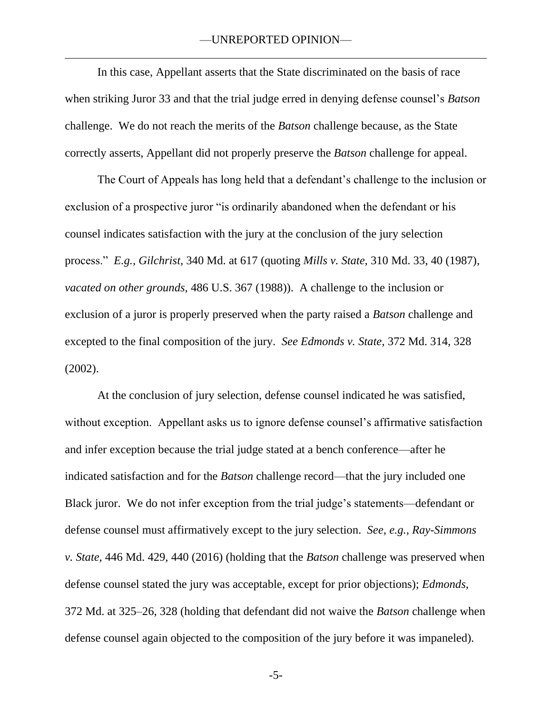### —UNREPORTED OPINION—

In this case, Appellant asserts that the State discriminated on the basis of race when striking Juror 33 and that the trial judge erred in denying defense counsel's *Batson*  challenge. We do not reach the merits of the *Batson* challenge because, as the State correctly asserts, Appellant did not properly preserve the *Batson* challenge for appeal.

The Court of Appeals has long held that a defendant's challenge to the inclusion or exclusion of a prospective juror "is ordinarily abandoned when the defendant or his counsel indicates satisfaction with the jury at the conclusion of the jury selection process." *E.g.*, *Gilchrist*, 340 Md. at 617 (quoting *Mills v. State*, 310 Md. 33, 40 (1987), *vacated on other grounds*, 486 U.S. 367 (1988)). A challenge to the inclusion or exclusion of a juror is properly preserved when the party raised a *Batson* challenge and excepted to the final composition of the jury. *See Edmonds v. State*, 372 Md. 314, 328 (2002).

At the conclusion of jury selection, defense counsel indicated he was satisfied, without exception. Appellant asks us to ignore defense counsel's affirmative satisfaction and infer exception because the trial judge stated at a bench conference—after he indicated satisfaction and for the *Batson* challenge record—that the jury included one Black juror. We do not infer exception from the trial judge's statements—defendant or defense counsel must affirmatively except to the jury selection. *See, e.g.*, *Ray-Simmons v. State*, 446 Md. 429, 440 (2016) (holding that the *Batson* challenge was preserved when defense counsel stated the jury was acceptable, except for prior objections); *Edmonds*, 372 Md. at 325–26, 328 (holding that defendant did not waive the *Batson* challenge when defense counsel again objected to the composition of the jury before it was impaneled).

-5-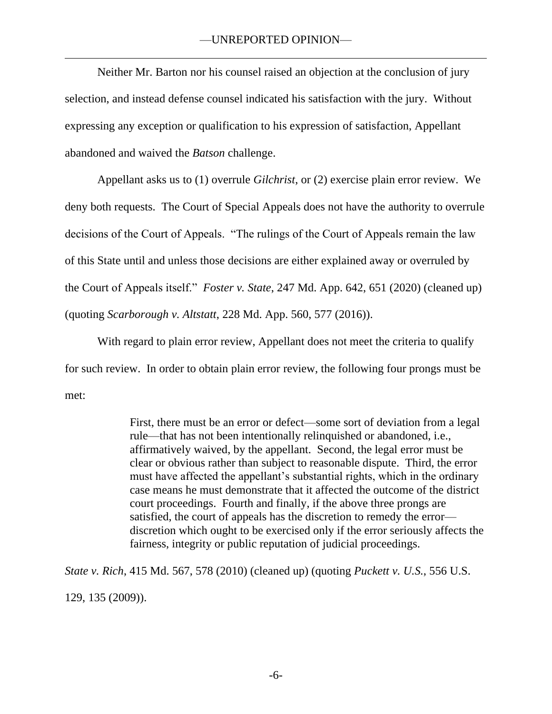Neither Mr. Barton nor his counsel raised an objection at the conclusion of jury selection, and instead defense counsel indicated his satisfaction with the jury. Without expressing any exception or qualification to his expression of satisfaction, Appellant abandoned and waived the *Batson* challenge.

Appellant asks us to (1) overrule *Gilchrist*, or (2) exercise plain error review. We deny both requests. The Court of Special Appeals does not have the authority to overrule decisions of the Court of Appeals. "The rulings of the Court of Appeals remain the law of this State until and unless those decisions are either explained away or overruled by the Court of Appeals itself." *Foster v. State*, 247 Md. App. 642, 651 (2020) (cleaned up) (quoting *Scarborough v. Altstatt*, 228 Md. App. 560, 577 (2016)).

With regard to plain error review, Appellant does not meet the criteria to qualify for such review. In order to obtain plain error review, the following four prongs must be met:

> First, there must be an error or defect—some sort of deviation from a legal rule—that has not been intentionally relinquished or abandoned, i.e., affirmatively waived, by the appellant. Second, the legal error must be clear or obvious rather than subject to reasonable dispute. Third, the error must have affected the appellant's substantial rights, which in the ordinary case means he must demonstrate that it affected the outcome of the district court proceedings. Fourth and finally, if the above three prongs are satisfied, the court of appeals has the discretion to remedy the error discretion which ought to be exercised only if the error seriously affects the fairness, integrity or public reputation of judicial proceedings.

*State v. Rich*, 415 Md. 567, 578 (2010) (cleaned up) (quoting *Puckett v. U.S.*, 556 U.S. 129, 135 (2009)).